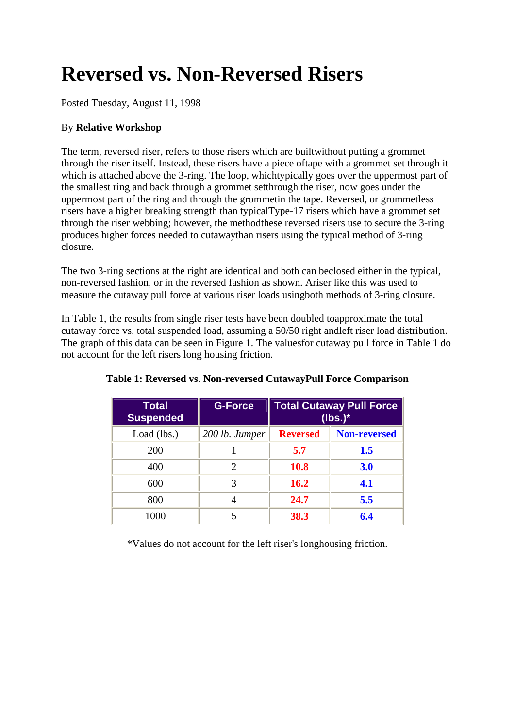# **Reversed vs. Non-Reversed Risers**

Posted Tuesday, August 11, 1998

#### By **Relative Workshop**

The term, reversed riser, refers to those risers which are builtwithout putting a grommet through the riser itself. Instead, these risers have a piece oftape with a grommet set through it which is attached above the 3-ring. The loop, whichtypically goes over the uppermost part of the smallest ring and back through a grommet setthrough the riser, now goes under the uppermost part of the ring and through the grommetin the tape. Reversed, or grommetless risers have a higher breaking strength than typicalType-17 risers which have a grommet set through the riser webbing; however, the methodthese reversed risers use to secure the 3-ring produces higher forces needed to cutawaythan risers using the typical method of 3-ring closure.

The two 3-ring sections at the right are identical and both can beclosed either in the typical, non-reversed fashion, or in the reversed fashion as shown. Ariser like this was used to measure the cutaway pull force at various riser loads usingboth methods of 3-ring closure.

In Table 1, the results from single riser tests have been doubled toapproximate the total cutaway force vs. total suspended load, assuming a 50/50 right andleft riser load distribution. The graph of this data can be seen in Figure 1. The valuesfor cutaway pull force in Table 1 do not account for the left risers long housing friction.

| Total<br><b>Suspended</b> | <b>G-Force</b>              | <b>Total Cutaway Pull Force</b><br>$(lbs.)^*$ |                     |
|---------------------------|-----------------------------|-----------------------------------------------|---------------------|
| Load (lbs.)               | 200 lb. Jumper              | <b>Reversed</b>                               | <b>Non-reversed</b> |
| 200                       |                             | 5.7                                           | 1.5                 |
| 400                       | $\mathcal{D}_{\mathcal{L}}$ | <b>10.8</b>                                   | 3.0                 |
| 600                       | 3                           | <b>16.2</b>                                   | 4.1                 |
| 800                       |                             | 24.7                                          | 5.5                 |
| 1000                      |                             | 38.3                                          | 6.4                 |

**Table 1: Reversed vs. Non-reversed CutawayPull Force Comparison**

\*Values do not account for the left riser's longhousing friction.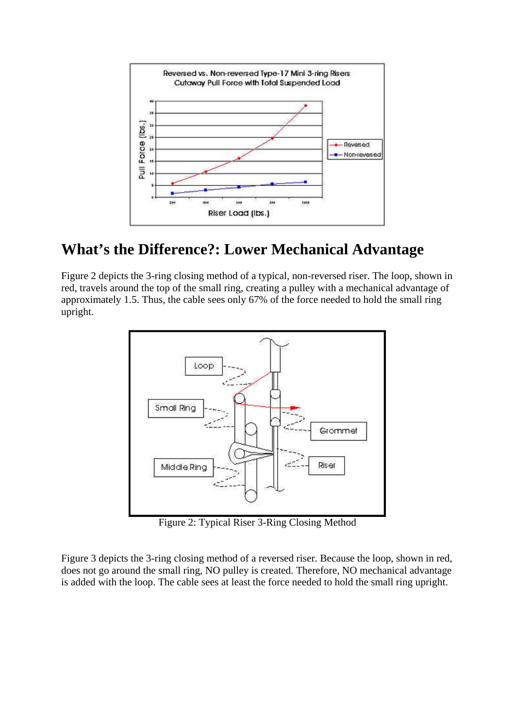

### **What's the Difference?: Lower Mechanical Advantage**

Figure 2 depicts the 3-ring closing method of a typical, non-reversed riser. The loop, shown in red, travels around the top of the small ring, creating a pulley with a mechanical advantage of approximately 1.5. Thus, the cable sees only 67% of the force needed to hold the small ring upright.



Figure 2: Typical Riser 3-Ring Closing Method

Figure 3 depicts the 3-ring closing method of a reversed riser. Because the loop, shown in red, does not go around the small ring, NO pulley is created. Therefore, NO mechanical advantage is added with the loop. The cable sees at least the force needed to hold the small ring upright.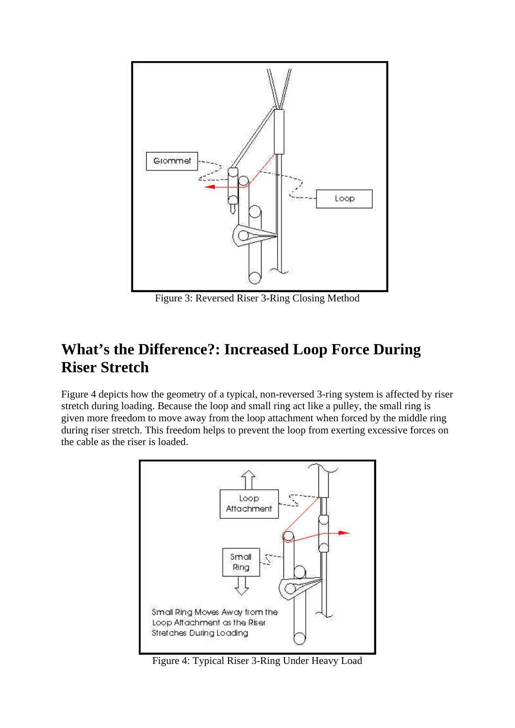

Figure 3: Reversed Riser 3-Ring Closing Method

### **What's the Difference?: Increased Loop Force During Riser Stretch**

Figure 4 depicts how the geometry of a typical, non-reversed 3-ring system is affected by riser stretch during loading. Because the loop and small ring act like a pulley, the small ring is given more freedom to move away from the loop attachment when forced by the middle ring during riser stretch. This freedom helps to prevent the loop from exerting excessive forces on the cable as the riser is loaded.



Figure 4: Typical Riser 3-Ring Under Heavy Load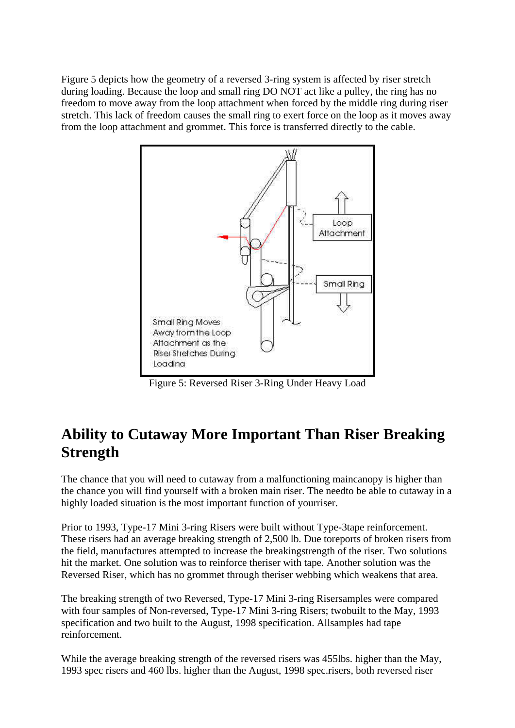Figure 5 depicts how the geometry of a reversed 3-ring system is affected by riser stretch during loading. Because the loop and small ring DO NOT act like a pulley, the ring has no freedom to move away from the loop attachment when forced by the middle ring during riser stretch. This lack of freedom causes the small ring to exert force on the loop as it moves away from the loop attachment and grommet. This force is transferred directly to the cable.



Figure 5: Reversed Riser 3-Ring Under Heavy Load

## **Ability to Cutaway More Important Than Riser Breaking Strength**

The chance that you will need to cutaway from a malfunctioning maincanopy is higher than the chance you will find yourself with a broken main riser. The needto be able to cutaway in a highly loaded situation is the most important function of yourriser.

Prior to 1993, Type-17 Mini 3-ring Risers were built without Type-3tape reinforcement. These risers had an average breaking strength of 2,500 lb. Due toreports of broken risers from the field, manufactures attempted to increase the breakingstrength of the riser. Two solutions hit the market. One solution was to reinforce theriser with tape. Another solution was the Reversed Riser, which has no grommet through theriser webbing which weakens that area.

The breaking strength of two Reversed, Type-17 Mini 3-ring Risersamples were compared with four samples of Non-reversed, Type-17 Mini 3-ring Risers; twobuilt to the May, 1993 specification and two built to the August, 1998 specification. Allsamples had tape reinforcement.

While the average breaking strength of the reversed risers was 455lbs. higher than the May, 1993 spec risers and 460 lbs. higher than the August, 1998 spec.risers, both reversed riser